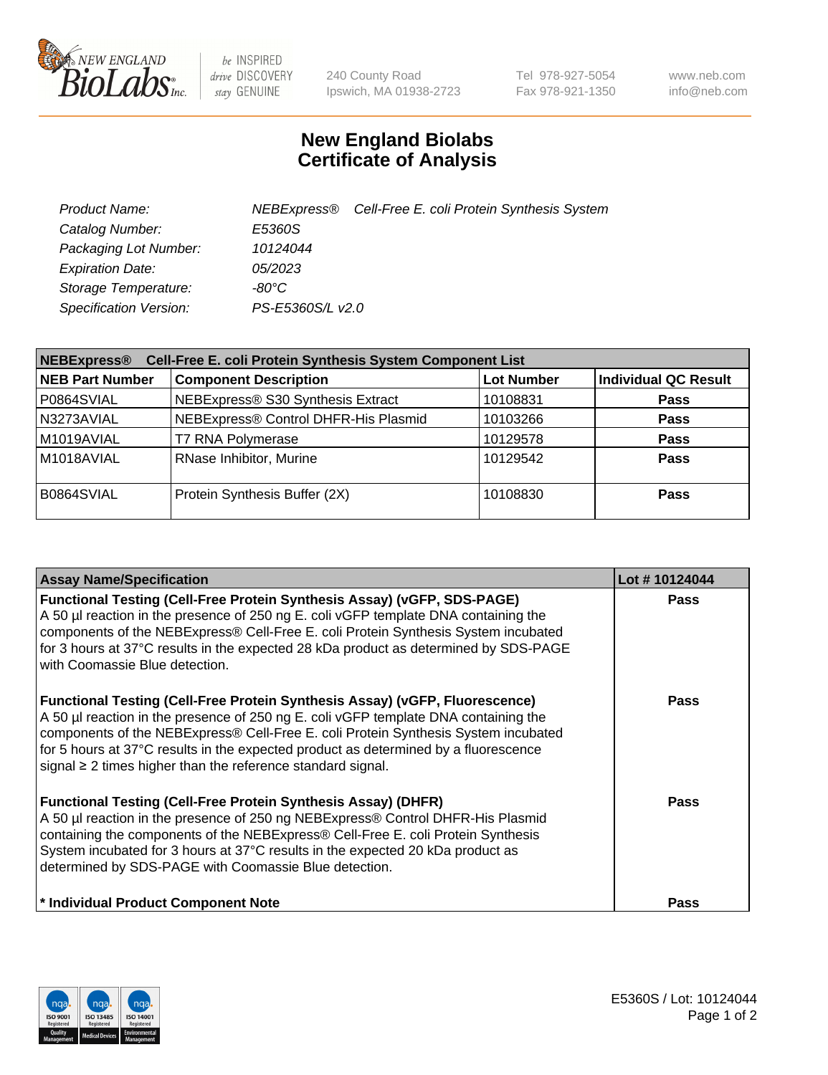

 $be$  INSPIRED drive DISCOVERY stay GENUINE

240 County Road Ipswich, MA 01938-2723 Tel 978-927-5054 Fax 978-921-1350 www.neb.com info@neb.com

## **New England Biolabs Certificate of Analysis**

| Product Name:                 |                  | NEBExpress® Cell-Free E. coli Protein Synthesis System |
|-------------------------------|------------------|--------------------------------------------------------|
| Catalog Number:               | E5360S           |                                                        |
| Packaging Lot Number:         | 10124044         |                                                        |
| <b>Expiration Date:</b>       | 05/2023          |                                                        |
| Storage Temperature:          | $-80^{\circ}$ C  |                                                        |
| <b>Specification Version:</b> | PS-E5360S/L v2.0 |                                                        |

| Cell-Free E. coli Protein Synthesis System Component List<br><b>NEBExpress®</b> |                                      |                   |                             |  |
|---------------------------------------------------------------------------------|--------------------------------------|-------------------|-----------------------------|--|
| <b>NEB Part Number</b>                                                          | <b>Component Description</b>         | <b>Lot Number</b> | <b>Individual QC Result</b> |  |
| P0864SVIAL                                                                      | NEBExpress® S30 Synthesis Extract    | 10108831          | <b>Pass</b>                 |  |
| N3273AVIAL                                                                      | NEBExpress® Control DHFR-His Plasmid | 10103266          | <b>Pass</b>                 |  |
| M1019AVIAL                                                                      | <b>T7 RNA Polymerase</b>             | 10129578          | <b>Pass</b>                 |  |
| M1018AVIAL                                                                      | RNase Inhibitor, Murine              | 10129542          | <b>Pass</b>                 |  |
| B0864SVIAL                                                                      | Protein Synthesis Buffer (2X)        | 10108830          | <b>Pass</b>                 |  |

| <b>Assay Name/Specification</b>                                                                                                                                                                                                                                                                                                                                                                                            | Lot #10124044 |
|----------------------------------------------------------------------------------------------------------------------------------------------------------------------------------------------------------------------------------------------------------------------------------------------------------------------------------------------------------------------------------------------------------------------------|---------------|
| <b>Functional Testing (Cell-Free Protein Synthesis Assay) (vGFP, SDS-PAGE)</b><br>A 50 µl reaction in the presence of 250 ng E. coli vGFP template DNA containing the<br>components of the NEBExpress® Cell-Free E. coli Protein Synthesis System incubated<br>for 3 hours at 37°C results in the expected 28 kDa product as determined by SDS-PAGE<br>with Coomassie Blue detection.                                      | <b>Pass</b>   |
| <b>Functional Testing (Cell-Free Protein Synthesis Assay) (vGFP, Fluorescence)</b><br>A 50 µl reaction in the presence of 250 ng E. coli vGFP template DNA containing the<br>components of the NEBExpress® Cell-Free E. coli Protein Synthesis System incubated<br>for 5 hours at 37°C results in the expected product as determined by a fluorescence<br>signal $\geq$ 2 times higher than the reference standard signal. | <b>Pass</b>   |
| <b>Functional Testing (Cell-Free Protein Synthesis Assay) (DHFR)</b><br>A 50 µl reaction in the presence of 250 ng NEBExpress® Control DHFR-His Plasmid<br>containing the components of the NEBExpress® Cell-Free E. coli Protein Synthesis<br>System incubated for 3 hours at 37°C results in the expected 20 kDa product as<br>determined by SDS-PAGE with Coomassie Blue detection.                                     | <b>Pass</b>   |
| * Individual Product Component Note                                                                                                                                                                                                                                                                                                                                                                                        | Pass          |